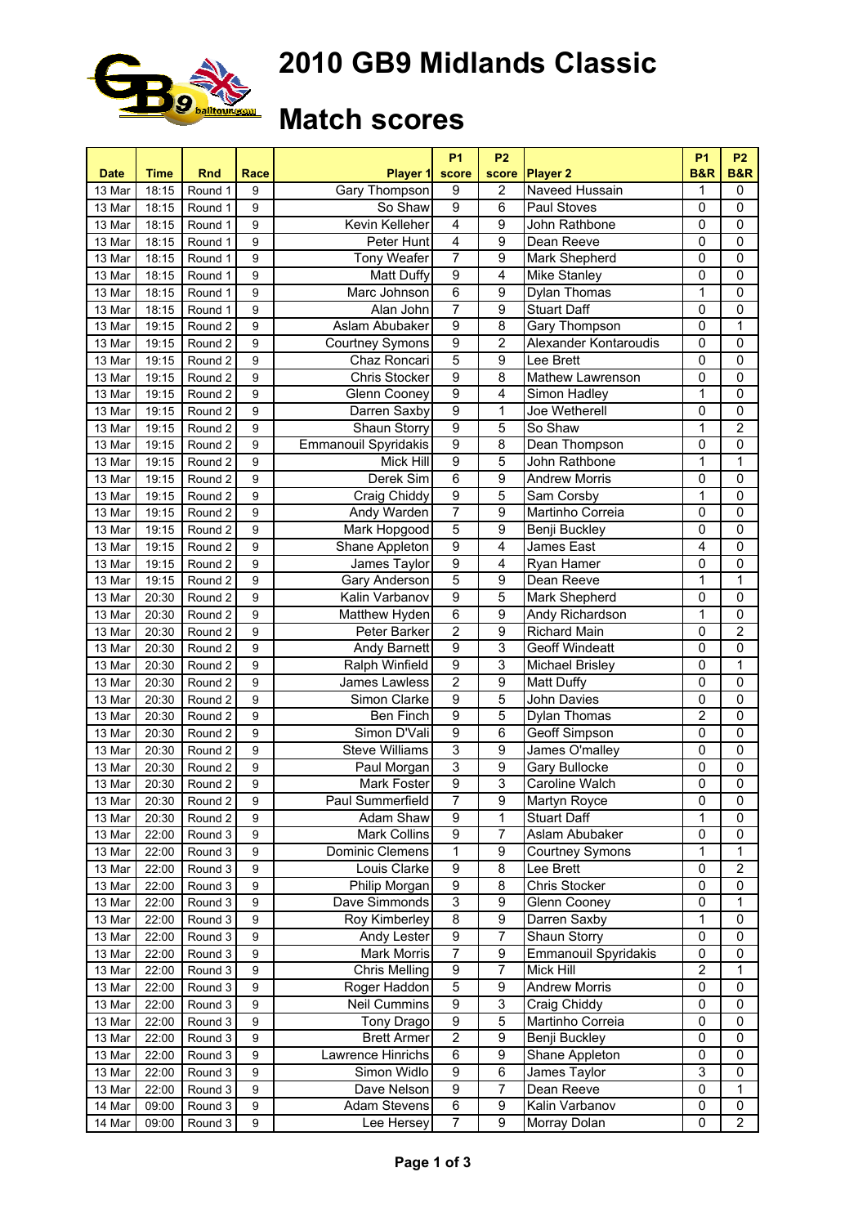

# **2010 GB9 Midlands Classic**

### **Match scores**

| <b>Date</b> | Time  | <b>Rnd</b> | <b>Race</b>    | Player 1                    | <b>P1</b><br>score      | P <sub>2</sub><br>score | <b>Player 2</b>             | <b>P1</b><br><b>B&amp;R</b> | <b>P2</b><br><b>B&amp;R</b> |
|-------------|-------|------------|----------------|-----------------------------|-------------------------|-------------------------|-----------------------------|-----------------------------|-----------------------------|
| 13 Mar      | 18:15 | Round 1    | 9              | Gary Thompson               | 9                       | $\overline{2}$          | Naveed Hussain              | 1                           | $\mathbf 0$                 |
| 13 Mar      | 18:15 | Round 1    | 9              | So Shaw                     | $\overline{9}$          | 6                       | Paul Stoves                 | $\overline{0}$              | $\mathbf 0$                 |
| 13 Mar      | 18:15 | Round 1    | 9              | Kevin Kelleher              | 4                       | 9                       | John Rathbone               | $\mathbf 0$                 | $\pmb{0}$                   |
| 13 Mar      | 18:15 | Round 1    | 9              | Peter Hunt                  | 4                       | 9                       | Dean Reeve                  | $\mathbf 0$                 | $\mathbf 0$                 |
| 13 Mar      | 18:15 | Round 1    | 9              | Tony Weafer                 | $\overline{7}$          | 9                       | Mark Shepherd               | $\mathbf 0$                 | $\overline{0}$              |
| 13 Mar      | 18:15 | Round 1    | 9              | Matt Duffy                  | $\overline{9}$          | $\overline{4}$          | Mike Stanley                | $\mathbf 0$                 | $\overline{0}$              |
| 13 Mar      | 18:15 | Round 1    | 9              | Marc Johnson                | 6                       | 9                       | Dylan Thomas                | 1                           | $\overline{0}$              |
| 13 Mar      | 18:15 | Round 1    | 9              | Alan John                   | 7                       | 9                       | <b>Stuart Daff</b>          | $\mathbf 0$                 | $\overline{0}$              |
| 13 Mar      | 19:15 | Round 2    | 9              | Aslam Abubaker              | 9                       | 8                       | Gary Thompson               | $\mathbf 0$                 | 1                           |
| 13 Mar      | 19:15 | Round 2    | 9              | <b>Courtney Symons</b>      | 9                       | $\overline{2}$          | Alexander Kontaroudis       | $\mathbf 0$                 | $\mathbf 0$                 |
| 13 Mar      | 19:15 | Round 2    | 9              | Chaz Roncari                | 5                       | 9                       | Lee Brett                   | $\mathbf 0$                 | $\pmb{0}$                   |
| 13 Mar      | 19:15 | Round 2    | 9              | Chris Stocker               | $\overline{9}$          | 8                       | Mathew Lawrenson            | $\mathbf 0$                 | 0                           |
| 13 Mar      | 19:15 | Round 2    | 9              | Glenn Cooney                | $\overline{9}$          | 4                       | Simon Hadley                | 1                           | $\overline{0}$              |
| 13 Mar      | 19:15 | Round 2    | 9              | Darren Saxby                | $\overline{9}$          | 1                       | Joe Wetherell               | $\overline{0}$              | $\mathbf 0$                 |
| 13 Mar      | 19:15 | Round 2    | 9              | <b>Shaun Storry</b>         | $\overline{9}$          | 5                       | So Shaw                     | 1                           | $\overline{2}$              |
| 13 Mar      | 19:15 | Round 2    | 9              | <b>Emmanouil Spyridakis</b> | $\overline{9}$          | $\overline{8}$          | Dean Thompson               | $\mathbf 0$                 | $\pmb{0}$                   |
| 13 Mar      | 19:15 | Round 2    | 9              | Mick Hill                   | 9                       | 5                       | John Rathbone               | 1                           | $\mathbf{1}$                |
| 13 Mar      | 19:15 | Round 2    | 9              | Derek Sim                   | 6                       | 9                       | Andrew Morris               | $\mathbf 0$                 | $\overline{0}$              |
| 13 Mar      | 19:15 | Round 2    | 9              | Craig Chiddy                | $\overline{9}$          | 5                       | Sam Corsby                  | 1                           | $\overline{0}$              |
| 13 Mar      | 19:15 | Round 2    | 9              | Andy Warden                 | $\overline{7}$          | 9                       | Martinho Correia            | $\mathbf 0$                 | $\mathbf 0$                 |
| 13 Mar      | 19:15 | Round 2    | 9              | Mark Hopgood                | 5                       | 9                       | Benji Buckley               | $\mathbf 0$                 | $\mathbf 0$                 |
| 13 Mar      | 19:15 | Round 2    | 9              | Shane Appleton              | $\overline{9}$          | 4                       | James East                  | $\overline{4}$              | $\overline{0}$              |
| 13 Mar      | 19:15 | Round 2    | 9              | James Taylor                | $\overline{9}$          | $\overline{4}$          | Ryan Hamer                  | $\mathbf 0$                 | $\overline{0}$              |
| 13 Mar      | 19:15 | Round 2    | 9              | Gary Anderson               | 5                       | $\overline{9}$          | Dean Reeve                  | 1                           | $\mathbf 1$                 |
| 13 Mar      | 20:30 | Round 2    | 9              | Kalin Varbanov              | 9                       | 5                       | Mark Shepherd               | $\mathbf 0$                 | $\mathbf 0$                 |
| 13 Mar      | 20:30 | Round 2    | 9              | Matthew Hyden               | 6                       | 9                       | Andy Richardson             | 1                           | $\pmb{0}$                   |
| 13 Mar      | 20:30 | Round 2    | $\overline{9}$ | Peter Barker                | $\overline{2}$          | 9                       | Richard Main                | $\overline{0}$              | $\overline{2}$              |
| 13 Mar      | 20:30 | Round 2    | 9              | Andy Barnett                | 9                       | 3                       | <b>Geoff Windeatt</b>       | $\mathbf 0$                 | 0                           |
| 13 Mar      | 20:30 | Round 2    | 9              | Ralph Winfield              | 9                       | 3                       | Michael Brisley             | $\mathbf 0$                 | 1                           |
| 13 Mar      | 20:30 | Round 2    | 9              | James Lawless               | $\overline{\mathbf{c}}$ | 9                       | Matt Duffy                  | $\mathbf 0$                 | 0                           |
| 13 Mar      | 20:30 | Round 2    | 9              | Simon Clarke                | $\overline{9}$          | 5                       | <b>John Davies</b>          | $\mathbf 0$                 | $\mathbf 0$                 |
| 13 Mar      | 20:30 | Round 2    | 9              | Ben Finch                   | $\overline{9}$          | 5                       | <b>Dylan Thomas</b>         | $\overline{2}$              | $\mathbf 0$                 |
| 13 Mar      | 20:30 | Round 2    | 9              | Simon D'Vali                | $\overline{9}$          | $\overline{6}$          | <b>Geoff Simpson</b>        | $\overline{0}$              | $\overline{0}$              |
| 13 Mar      | 20:30 | Round 2    | 9              | <b>Steve Williams</b>       | 3                       | $\overline{9}$          | James O'malley              | $\mathbf 0$                 | $\overline{0}$              |
| 13 Mar      | 20:30 | Round 2    | 9              | Paul Morgan                 | $\overline{3}$          | $\overline{9}$          | Gary Bullocke               | $\mathbf 0$                 | $\mathbf 0$                 |
| 13 Mar      | 20:30 | Round 2    | $\overline{9}$ | Mark Foster                 | $\overline{9}$          | $\overline{3}$          | Caroline Walch              | 0                           | $\overline{0}$              |
| 13 Mar      | 20:30 | Round 2    | $\overline{9}$ | Paul Summerfield            | $\overline{7}$          | $\overline{9}$          | Martyn Royce                | 0                           | $\overline{0}$              |
| 13 Mar      | 20:30 | Round 2    | 9              | Adam Shaw                   | 9                       | 1                       | <b>Stuart Daff</b>          | 1                           | $\mathbf 0$                 |
| 13 Mar      | 22:00 | Round 3    | 9              | Mark Collins                | 9                       | 7                       | Aslam Abubaker              | $\mathbf 0$                 | 0                           |
| 13 Mar      | 22:00 | Round 3    | 9              | Dominic Clemens             | 1                       | 9                       | <b>Courtney Symons</b>      | 1                           | $\mathbf{1}$                |
| 13 Mar      | 22:00 | Round 3    | 9              | Louis Clarke                | $\overline{9}$          | 8                       | Lee Brett                   | $\mathbf 0$                 | $\boldsymbol{2}$            |
| 13 Mar      | 22:00 | Round 3    | 9              | Philip Morgan               | 9                       | 8                       | <b>Chris Stocker</b>        | 0                           | $\pmb{0}$                   |
| 13 Mar      | 22:00 | Round 3    | 9              | Dave Simmonds               | 3                       | 9                       | <b>Glenn Cooney</b>         | 0                           | $\mathbf{1}$                |
| 13 Mar      | 22:00 | Round 3    | 9              | Roy Kimberley               | $\overline{8}$          | 9                       | Darren Saxby                | 1                           | $\mathbf 0$                 |
| 13 Mar      | 22:00 | Round 3    | 9              | Andy Lester                 | 9                       | 7                       | Shaun Storry                | 0                           | 0                           |
| 13 Mar      | 22:00 | Round 3    | 9              | Mark Morris                 | $\overline{7}$          | 9                       | <b>Emmanouil Spyridakis</b> | 0                           | $\mathbf 0$                 |
| 13 Mar      | 22:00 | Round 3    | 9              | Chris Melling               | 9                       | $\overline{7}$          | Mick Hill                   | $\overline{\mathbf{c}}$     | 1                           |
| 13 Mar      | 22:00 | Round 3    | 9              | Roger Haddon                | $\overline{5}$          | 9                       | <b>Andrew Morris</b>        | $\pmb{0}$                   | 0                           |
| 13 Mar      | 22:00 | Round 3    | 9              | Neil Cummins                | $\overline{9}$          | 3                       | Craig Chiddy                | $\pmb{0}$                   | 0                           |
| 13 Mar      | 22:00 | Round 3    | 9              | Tony Drago                  | 9                       | $\overline{5}$          | Martinho Correia            | 0                           | 0                           |
| 13 Mar      | 22:00 | Round 3    | 9              | <b>Brett Armer</b>          | $\overline{2}$          | $\overline{9}$          | Benji Buckley               | 0                           | 0                           |
| 13 Mar      | 22:00 | Round 3    | 9              | Lawrence Hinrichs           | $\overline{6}$          | $\overline{9}$          | Shane Appleton              | 0                           | $\mathbf 0$                 |
| 13 Mar      | 22:00 | Round 3    | 9              | Simon Widlo                 | $\overline{9}$          | $\overline{6}$          | James Taylor                | 3                           | $\mathbf 0$                 |
| 13 Mar      | 22:00 | Round 3    | 9              | Dave Nelson                 | 9                       | $\overline{7}$          | Dean Reeve                  | 0                           | 1                           |
| 14 Mar      | 09:00 | Round 3    | 9              | Adam Stevens                | 6                       | 9                       | Kalin Varbanov              | $\mathbf 0$                 | 0                           |
| 14 Mar      | 09:00 | Round 3    | 9              | Lee Hersey                  | $\overline{7}$          | $\overline{9}$          | Morray Dolan                | $\mathbf 0$                 | $\overline{2}$              |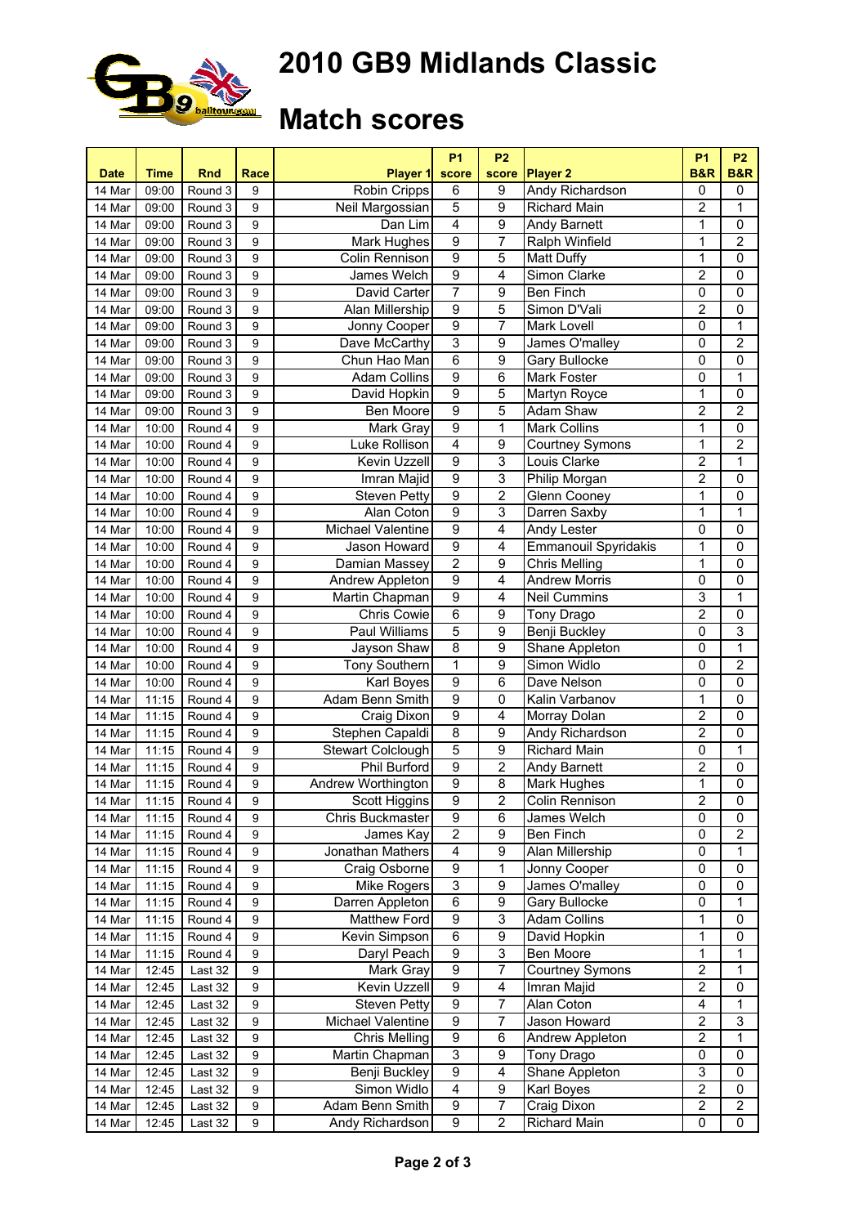

# **2010 GB9 Midlands Classic**

### **Match scores**

| <b>Date</b> | <b>Time</b> | <b>Rnd</b> | Race             | <b>Player 1</b>                    | <b>P1</b><br>score      | P <sub>2</sub><br>score | <b>Player 2</b>             | <b>P1</b><br><b>B&amp;R</b> | <b>P2</b><br><b>B&amp;R</b> |
|-------------|-------------|------------|------------------|------------------------------------|-------------------------|-------------------------|-----------------------------|-----------------------------|-----------------------------|
| 14 Mar      | 09:00       | Round 3    | 9                | <b>Robin Cripps</b>                | 6                       | 9                       | Andy Richardson             | $\mathbf 0$                 | $\mathbf 0$                 |
| 14 Mar      | 09:00       | Round 3    | 9                | Neil Margossian                    | 5                       | $\overline{9}$          | Richard Main                | 2                           | 1                           |
| 14 Mar      | 09:00       | Round 3    | 9                | Dan Lim                            | 4                       | 9                       | <b>Andy Barnett</b>         | 1                           | $\pmb{0}$                   |
| 14 Mar      | 09:00       | Round 3    | 9                | Mark Hughes                        | 9                       | $\overline{7}$          | <b>Ralph Winfield</b>       | 1                           | $\overline{2}$              |
| 14 Mar      | 09:00       | Round 3    | 9                | Colin Rennison                     | $\overline{9}$          | 5                       | <b>Matt Duffy</b>           | 1                           | $\mathbf 0$                 |
| 14 Mar      | 09:00       | Round 3    | 9                | James Welch                        | $\overline{9}$          | 4                       | Simon Clarke                | $\overline{2}$              | $\overline{0}$              |
| 14 Mar      | 09:00       | Round 3    | 9                | David Carter                       | 7                       | 9                       | <b>Ben Finch</b>            | $\mathbf 0$                 | $\overline{0}$              |
| 14 Mar      | 09:00       | Round 3    | 9                | Alan Millership                    | 9                       | 5                       | Simon D'Vali                | $\overline{2}$              | $\pmb{0}$                   |
| 14 Mar      | 09:00       | Round 3    | 9                | Jonny Cooper                       | 9                       | 7                       | <b>Mark Lovell</b>          | 0                           | 1                           |
| 14 Mar      | 09:00       | Round 3    | 9                | Dave McCarthy                      | $\overline{3}$          | 9                       | James O'malley              | $\mathbf 0$                 | $\overline{2}$              |
| 14 Mar      | 09:00       | Round 3    | 9                | Chun Hao Man                       | 6                       | 9                       | <b>Gary Bullocke</b>        | 0                           | 0                           |
| 14 Mar      | 09:00       | Round 3    | 9                | <b>Adam Collins</b>                | 9                       | 6                       | Mark Foster                 | 0                           | 1                           |
| 14 Mar      | 09:00       | Round 3    | 9                | David Hopkin                       | 9                       | 5                       | Martyn Royce                | 1                           | $\mathbf 0$                 |
| 14 Mar      | 09:00       | Round 3    | 9                | Ben Moore                          | $\overline{9}$          | 5                       | Adam Shaw                   | $\overline{2}$              | $\overline{2}$              |
| 14 Mar      | 10:00       | Round 4    | 9                | Mark Gray                          | $\overline{9}$          | 1                       | <b>Mark Collins</b>         | 1                           | $\mathbf 0$                 |
| 14 Mar      | 10:00       | Round 4    | 9                | Luke Rollison                      | $\overline{4}$          | $\overline{9}$          | <b>Courtney Symons</b>      | 1                           | 2                           |
| 14 Mar      |             | Round 4    | 9                | Kevin Uzzell                       | 9                       | 3                       | Louis Clarke                | $\overline{2}$              | 1                           |
| 14 Mar      | 10:00       |            | 9                |                                    | $\overline{9}$          | 3                       | Philip Morgan               | $\overline{2}$              | $\mathbf 0$                 |
| 14 Mar      | 10:00       | Round 4    | 9                | Imran Majid<br><b>Steven Petty</b> | $\overline{9}$          | $\overline{2}$          | <b>Glenn Cooney</b>         | 1                           | 0                           |
|             | 10:00       | Round 4    |                  |                                    | 9                       |                         |                             | 1                           |                             |
| 14 Mar      | 10:00       | Round 4    | 9                | Alan Coton                         |                         | 3                       | Darren Saxby                |                             | 1                           |
| 14 Mar      | 10:00       | Round 4    | 9                | Michael Valentine                  | 9                       | 4                       | Andy Lester                 | $\mathbf 0$                 | $\mathbf 0$                 |
| 14 Mar      | 10:00       | Round 4    | 9                | Jason Howard                       | $\overline{9}$          | 4                       | <b>Emmanouil Spyridakis</b> | 1                           | $\mathbf 0$                 |
| 14 Mar      | 10:00       | Round 4    | 9                | Damian Massey                      | $\overline{2}$          | 9                       | <b>Chris Melling</b>        | 1                           | $\overline{0}$              |
| 14 Mar      | 10:00       | Round 4    | 9                | Andrew Appleton                    | $\overline{9}$          | 4                       | <b>Andrew Morris</b>        | $\mathbf 0$                 | $\pmb{0}$                   |
| 14 Mar      | 10:00       | Round 4    | 9                | Martin Chapman                     | 9                       | 4                       | <b>Neil Cummins</b>         | 3                           | $\mathbf 1$                 |
| 14 Mar      | 10:00       | Round 4    | 9                | <b>Chris Cowie</b>                 | 6                       | 9                       | Tony Drago                  | $\overline{2}$              | $\pmb{0}$                   |
| 14 Mar      | 10:00       | Round 4    | 9                | Paul Williams                      | 5                       | $\overline{9}$          | <b>Benji Buckley</b>        | $\mathbf 0$                 | 3                           |
| 14 Mar      | 10:00       | Round 4    | 9                | Jayson Shaw                        | 8                       | 9                       | Shane Appleton              | 0                           | 1                           |
| 14 Mar      | 10:00       | Round 4    | 9                | <b>Tony Southern</b>               | 1                       | 9                       | Simon Widlo                 | 0                           | $\overline{2}$              |
| 14 Mar      | 10:00       | Round 4    | 9                | Karl Boyes                         | $\boldsymbol{9}$        | 6                       | Dave Nelson                 | 0                           | $\mathbf 0$                 |
| 14 Mar      | 11:15       | Round 4    | 9                | Adam Benn Smith                    | $\overline{9}$          | 0                       | Kalin Varbanov              | 1                           | $\mathbf 0$                 |
| 14 Mar      | 11:15       | Round 4    | 9                | Craig Dixon                        | $\overline{9}$          | 4                       | <b>Morray Dolan</b>         | $\overline{2}$              | $\mathbf 0$                 |
| 14 Mar      | 11:15       | Round 4    | 9                | Stephen Capaldi                    | $\overline{8}$          | $\overline{9}$          | Andy Richardson             | $\overline{2}$              | $\overline{0}$              |
| 14 Mar      | 11:15       | Round 4    | 9                | <b>Stewart Colclough</b>           | 5                       | $\overline{9}$          | <b>Richard Main</b>         | $\mathbf 0$                 | 1                           |
| 14 Mar      | 11:15       | Round 4    | 9                | <b>Phil Burford</b>                | $\overline{9}$          | $\overline{2}$          | Andy Barnett                | $\overline{2}$              | $\mathbf 0$                 |
| 14 Mar      | 11:15       | Round 4    | 9                | Andrew Worthington                 | $\overline{9}$          | 8                       | Mark Hughes                 | 1                           | 0                           |
| 14 Mar      | 11:15       | Round 4    | 9                | <b>Scott Higgins</b>               | $\overline{9}$          | $\overline{2}$          | Colin Rennison              | $\overline{2}$              | $\overline{0}$              |
| 14 Mar      | 11:15       | Round 4    | 9                | Chris Buckmaster                   | 9                       | 6                       | James Welch                 | $\mathbf 0$                 | $\mathbf 0$                 |
| 14 Mar      | 11:15       | Round 4    | 9                | James Kay                          | $\mathbf 2$             | 9                       | Ben Finch                   | 0                           | $\boldsymbol{2}$            |
| 14 Mar      | 11:15       | Round 4    | 9                | Jonathan Mathers                   | $\overline{4}$          | 9                       | Alan Millership             | $\mathbf 0$                 | 1                           |
| 14 Mar      | 11:15       | Round 4    | 9                | Craig Osborne                      | 9                       | 1                       | Jonny Cooper                | 0                           | 0                           |
| 14 Mar      | 11:15       | Round 4    | 9                | Mike Rogers                        | 3                       | 9                       | James O'malley              | 0                           | $\pmb{0}$                   |
| 14 Mar      | 11:15       | Round 4    | 9                | Darren Appleton                    | 6                       | 9                       | Gary Bullocke               | 0                           | 1                           |
| 14 Mar      | 11:15       | Round 4    | 9                | Matthew Ford                       | 9                       | 3                       | <b>Adam Collins</b>         | 1                           | $\mathbf 0$                 |
| 14 Mar      | 11:15       | Round 4    | 9                | Kevin Simpson                      | 6                       | 9                       | David Hopkin                | 1                           | 0                           |
| 14 Mar      | 11:15       | Round 4    | 9                | Daryl Peach                        | 9                       | 3                       | Ben Moore                   | 1                           | 1                           |
| 14 Mar      | 12:45       | Last 32    | 9                | Mark Gray                          | $\boldsymbol{9}$        | $\overline{7}$          | <b>Courtney Symons</b>      | 2                           | 1                           |
| 14 Mar      | 12:45       | Last 32    | 9                | Kevin Uzzell                       | $\boldsymbol{9}$        | 4                       | Imran Majid                 | $\overline{2}$              | 0                           |
| 14 Mar      | 12:45       | Last 32    | 9                | <b>Steven Petty</b>                | $\overline{9}$          | $\overline{7}$          | Alan Coton                  | $\overline{4}$              | 1                           |
| 14 Mar      | 12:45       | Last 32    | 9                | Michael Valentine                  | 9                       | $\overline{7}$          | Jason Howard                | $\overline{2}$              | 3                           |
| 14 Mar      | 12:45       | Last 32    | 9                | <b>Chris Melling</b>               | $\overline{9}$          | $\overline{6}$          | Andrew Appleton             | $\overline{2}$              | 1                           |
| 14 Mar      | 12:45       | Last 32    | 9                | Martin Chapman                     | $\overline{3}$          | $\overline{9}$          | Tony Drago                  | 0                           | $\mathbf 0$                 |
| 14 Mar      | 12:45       | Last 32    | 9                | <b>Benji Buckley</b>               | $\overline{9}$          | 4                       | Shane Appleton              | 3                           | $\mathbf 0$                 |
| 14 Mar      | 12:45       | Last 32    | 9                | Simon Widlo                        | $\overline{\mathbf{4}}$ | 9                       | Karl Boyes                  | 2                           | 0                           |
| 14 Mar      | 12:45       | Last 32    | 9                | Adam Benn Smith                    | 9                       | $\overline{7}$          | Craig Dixon                 | $\overline{2}$              | $\boldsymbol{2}$            |
| 14 Mar      | 12:45       | Last 32    | $\boldsymbol{9}$ | Andy Richardson                    | $\boldsymbol{9}$        | $\overline{2}$          | Richard Main                | $\mathbf 0$                 | $\pmb{0}$                   |